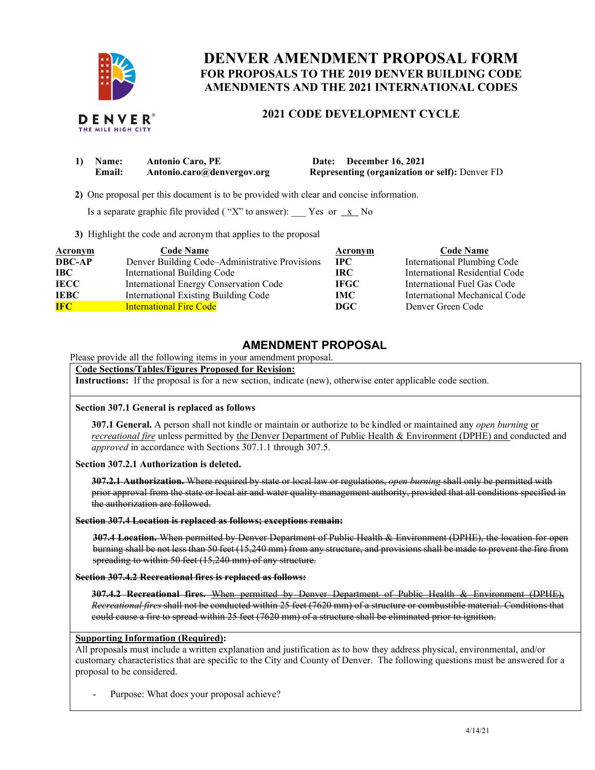

# **DENVER AMENDMENT PROPOSAL FORM FOR PROPOSALS TO THE 2019 DENVER BUILDING CODE AMENDMENTS AND THE 2021 INTERNATIONAL CODES**

# **2021 CODE DEVELOPMENT CYCLE**

| 1) Name: | <b>Antonio Caro, PE</b>    | Date: December 16, 2021                               |
|----------|----------------------------|-------------------------------------------------------|
| Email:   | Antonio.caro@denvergov.org | <b>Representing (organization or self):</b> Denver FD |

 **2)** One proposal per this document is to be provided with clear and concise information.

Is a separate graphic file provided ("X" to answer):  $\frac{X}{X}$  No

**3)** Highlight the code and acronym that applies to the proposal

| <b>Acronym</b> | <b>Code Name</b>                               | Acronym     | <b>Code Name</b>               |
|----------------|------------------------------------------------|-------------|--------------------------------|
| <b>DBC-AP</b>  | Denver Building Code-Administrative Provisions | $\bf IPC$   | International Plumbing Code    |
| IBC -          | International Building Code                    | IRC.        | International Residential Code |
| <b>IECC</b>    | International Energy Conservation Code         | <b>IFGC</b> | International Fuel Gas Code    |
| <b>IEBC</b>    | International Existing Building Code           | IMC -       | International Mechanical Code  |
| <b>IFC</b>     | <b>International Fire Code</b>                 | DGC         | Denver Green Code              |

# **AMENDMENT PROPOSAL**

Please provide all the following items in your amendment proposal.

### **Code Sections/Tables/Figures Proposed for Revision:**

**Instructions:** If the proposal is for a new section, indicate (new), otherwise enter applicable code section.

### **Section 307.1 General is replaced as follows**

**307.1 General.** A person shall not kindle or maintain or authorize to be kindled or maintained any *open burning* or *recreational fire* unless permitted by the Denver Department of Public Health & Environment (DPHE) and conducted and *approved* in accordance with Sections 307.1.1 through 307.5.

**Section 307.2.1 Authorization is deleted.**

**307.2.1 Authorization.** Where required by state or local law or regulations, *open burning* shall only be permitted with prior approval from the state or local air and water quality management authority, provided that all conditions specified in the authorization are followed.

#### **Section 307.4 Location is replaced as follows; exceptions remain:**

**307.4 Location.** When permitted by Denver Department of Public Health & Environment (DPHE), the location for open burning shall be not less than 50 feet (15,240 mm) from any structure, and provisions shall be made to prevent the fire from spreading to within 50 feet (15,240 mm) of any structure.

**Section 307.4.2 Recreational fires is replaced as follows:**

**307.4.2 Recreational fires.** When permitted by Denver Department of Public Health & Environment (DPHE)**,** *Recreational fires* shall not be conducted within 25 feet (7620 mm) of a structure or combustible material. Conditions that could cause a fire to spread within 25 feet (7620 mm) of a structure shall be eliminated prior to ignition.

#### **Supporting Information (Required):**

All proposals must include a written explanation and justification as to how they address physical, environmental, and/or customary characteristics that are specific to the City and County of Denver. The following questions must be answered for a proposal to be considered.

Purpose: What does your proposal achieve?